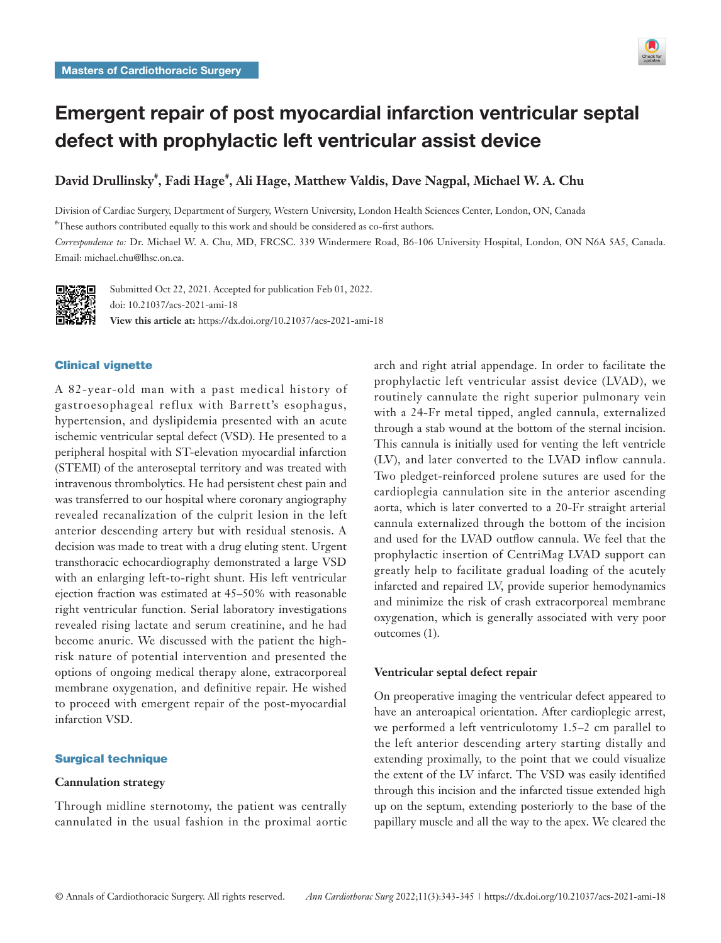

# Emergent repair of post myocardial infarction ventricular septal defect with prophylactic left ventricular assist device

**David Drullinsky# , Fadi Hage# , Ali Hage, Matthew Valdis, Dave Nagpal, Michael W. A. Chu**

Division of Cardiac Surgery, Department of Surgery, Western University, London Health Sciences Center, London, ON, Canada # These authors contributed equally to this work and should be considered as co-first authors.

*Correspondence to:* Dr. Michael W. A. Chu, MD, FRCSC. 339 Windermere Road, B6-106 University Hospital, London, ON N6A 5A5, Canada. Email: michael.chu@lhsc.on.ca.



Submitted Oct 22, 2021. Accepted for publication Feb 01, 2022. doi: 10.21037/acs-2021-ami-18 **View this article at:** https://dx.doi.org/10.21037/acs-2021-ami-18

# Clinical vignette

A 82-year-old man with a past medical history of gastroesophageal reflux with Barrett's esophagus, hypertension, and dyslipidemia presented with an acute ischemic ventricular septal defect (VSD). He presented to a peripheral hospital with ST-elevation myocardial infarction (STEMI) of the anteroseptal territory and was treated with intravenous thrombolytics. He had persistent chest pain and was transferred to our hospital where coronary angiography revealed recanalization of the culprit lesion in the left anterior descending artery but with residual stenosis. A decision was made to treat with a drug eluting stent. Urgent transthoracic echocardiography demonstrated a large VSD with an enlarging left-to-right shunt. His left ventricular ejection fraction was estimated at 45–50% with reasonable right ventricular function. Serial laboratory investigations revealed rising lactate and serum creatinine, and he had become anuric. We discussed with the patient the highrisk nature of potential intervention and presented the options of ongoing medical therapy alone, extracorporeal membrane oxygenation, and definitive repair. He wished to proceed with emergent repair of the post-myocardial infarction VSD.

#### Surgical technique

#### **Cannulation strategy**

Through midline sternotomy, the patient was centrally cannulated in the usual fashion in the proximal aortic arch and right atrial appendage. In order to facilitate the prophylactic left ventricular assist device (LVAD), we routinely cannulate the right superior pulmonary vein with a 24-Fr metal tipped, angled cannula, externalized through a stab wound at the bottom of the sternal incision. This cannula is initially used for venting the left ventricle (LV), and later converted to the LVAD inflow cannula. Two pledget-reinforced prolene sutures are used for the cardioplegia cannulation site in the anterior ascending aorta, which is later converted to a 20-Fr straight arterial cannula externalized through the bottom of the incision and used for the LVAD outflow cannula. We feel that the prophylactic insertion of CentriMag LVAD support can greatly help to facilitate gradual loading of the acutely infarcted and repaired LV, provide superior hemodynamics and minimize the risk of crash extracorporeal membrane oxygenation, which is generally associated with very poor outcomes (1).

# **Ventricular septal defect repair**

On preoperative imaging the ventricular defect appeared to have an anteroapical orientation. After cardioplegic arrest, we performed a left ventriculotomy 1.5–2 cm parallel to the left anterior descending artery starting distally and extending proximally, to the point that we could visualize the extent of the LV infarct. The VSD was easily identified through this incision and the infarcted tissue extended high up on the septum, extending posteriorly to the base of the papillary muscle and all the way to the apex. We cleared the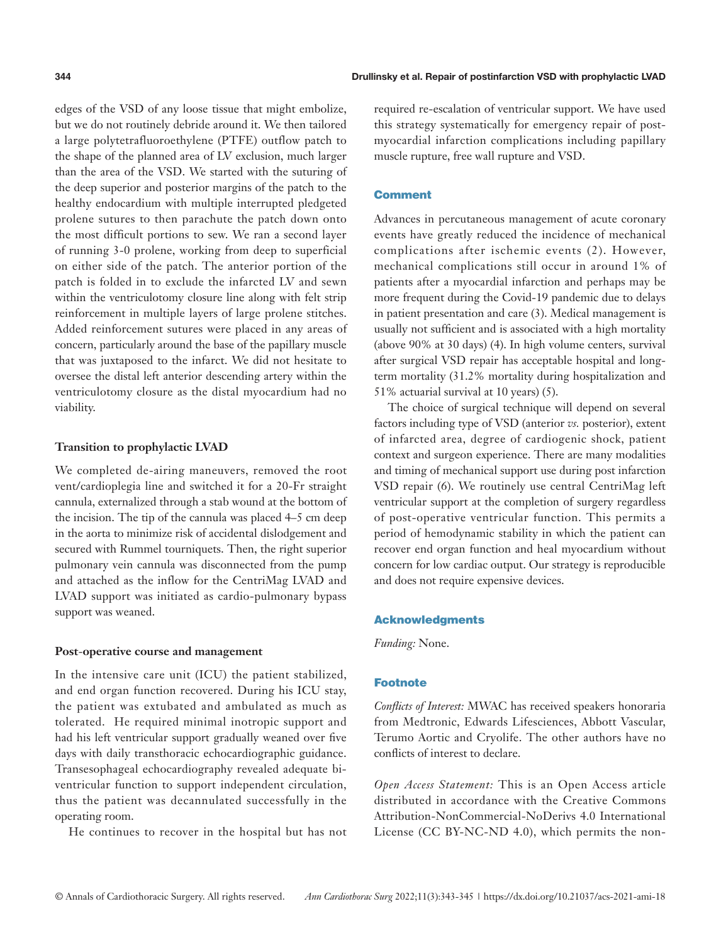edges of the VSD of any loose tissue that might embolize, but we do not routinely debride around it. We then tailored a large polytetrafluoroethylene (PTFE) outflow patch to the shape of the planned area of LV exclusion, much larger than the area of the VSD. We started with the suturing of the deep superior and posterior margins of the patch to the healthy endocardium with multiple interrupted pledgeted prolene sutures to then parachute the patch down onto the most difficult portions to sew. We ran a second layer of running 3-0 prolene, working from deep to superficial on either side of the patch. The anterior portion of the patch is folded in to exclude the infarcted LV and sewn within the ventriculotomy closure line along with felt strip reinforcement in multiple layers of large prolene stitches. Added reinforcement sutures were placed in any areas of concern, particularly around the base of the papillary muscle that was juxtaposed to the infarct. We did not hesitate to oversee the distal left anterior descending artery within the ventriculotomy closure as the distal myocardium had no viability.

## **Transition to prophylactic LVAD**

We completed de-airing maneuvers, removed the root vent/cardioplegia line and switched it for a 20-Fr straight cannula, externalized through a stab wound at the bottom of the incision. The tip of the cannula was placed 4–5 cm deep in the aorta to minimize risk of accidental dislodgement and secured with Rummel tourniquets. Then, the right superior pulmonary vein cannula was disconnected from the pump and attached as the inflow for the CentriMag LVAD and LVAD support was initiated as cardio-pulmonary bypass support was weaned.

## **Post**-**operative course and management**

In the intensive care unit (ICU) the patient stabilized, and end organ function recovered. During his ICU stay, the patient was extubated and ambulated as much as tolerated. He required minimal inotropic support and had his left ventricular support gradually weaned over five days with daily transthoracic echocardiographic guidance. Transesophageal echocardiography revealed adequate biventricular function to support independent circulation, thus the patient was decannulated successfully in the operating room.

He continues to recover in the hospital but has not

required re-escalation of ventricular support. We have used this strategy systematically for emergency repair of postmyocardial infarction complications including papillary muscle rupture, free wall rupture and VSD.

## **Comment**

Advances in percutaneous management of acute coronary events have greatly reduced the incidence of mechanical complications after ischemic events (2). However, mechanical complications still occur in around 1% of patients after a myocardial infarction and perhaps may be more frequent during the Covid-19 pandemic due to delays in patient presentation and care (3). Medical management is usually not sufficient and is associated with a high mortality (above 90% at 30 days) (4). In high volume centers, survival after surgical VSD repair has acceptable hospital and longterm mortality (31.2% mortality during hospitalization and 51% actuarial survival at 10 years) (5).

The choice of surgical technique will depend on several factors including type of VSD (anterior *vs.* posterior), extent of infarcted area, degree of cardiogenic shock, patient context and surgeon experience. There are many modalities and timing of mechanical support use during post infarction VSD repair (6). We routinely use central CentriMag left ventricular support at the completion of surgery regardless of post-operative ventricular function. This permits a period of hemodynamic stability in which the patient can recover end organ function and heal myocardium without concern for low cardiac output. Our strategy is reproducible and does not require expensive devices.

# Acknowledgments

*Funding:* None.

## **Footnote**

*Conflicts of Interest:* MWAC has received speakers honoraria from Medtronic, Edwards Lifesciences, Abbott Vascular, Terumo Aortic and Cryolife. The other authors have no conflicts of interest to declare.

*Open Access Statement:* This is an Open Access article distributed in accordance with the Creative Commons Attribution-NonCommercial-NoDerivs 4.0 International License (CC BY-NC-ND 4.0), which permits the non-